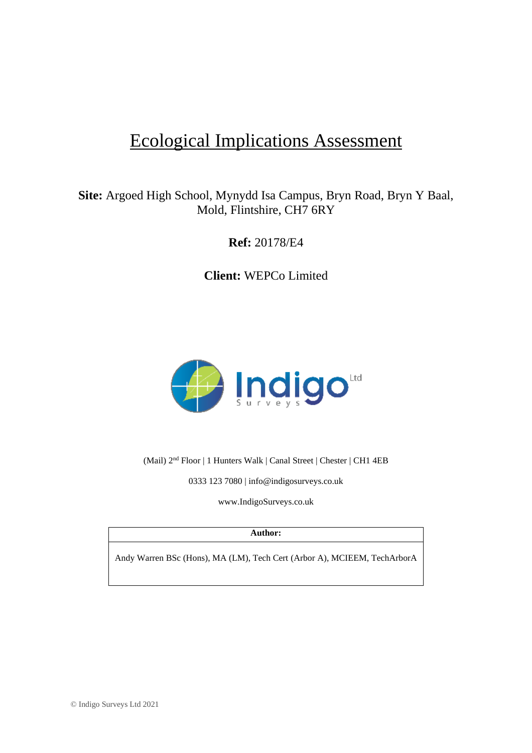# Ecological Implications Assessment

### **Site:** Argoed High School, Mynydd Isa Campus, Bryn Road, Bryn Y Baal, Mold, Flintshire, CH7 6RY

**Ref:** 20178/E4

**Client:** WEPCo Limited



(Mail) 2<sup>nd</sup> Floor | 1 Hunters Walk | Canal Street | Chester | CH1 4EB

0333 123 7080 | [info@indigosurveys.co.uk](mailto:info@indigosurveys.co.uk)

[www.IndigoSurveys.co.uk](http://www.indigosurveys.co.uk/)

#### **Author:**

Andy Warren BSc (Hons), MA (LM), Tech Cert (Arbor A), MCIEEM, TechArborA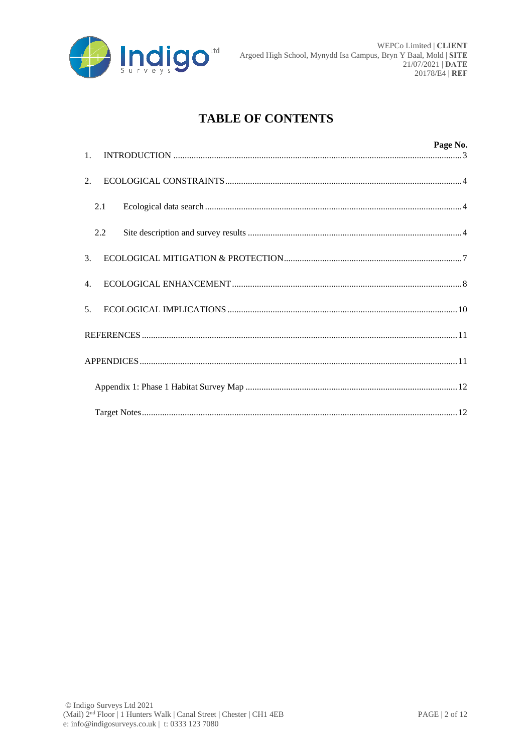

## **TABLE OF CONTENTS**

|                |     |  | Page No. |
|----------------|-----|--|----------|
| 2.             |     |  |          |
|                | 2.1 |  |          |
|                | 2.2 |  |          |
| 3 <sub>1</sub> |     |  |          |
| 4.             |     |  |          |
| 5 <sub>1</sub> |     |  |          |
|                |     |  |          |
|                |     |  |          |
|                |     |  |          |
|                |     |  |          |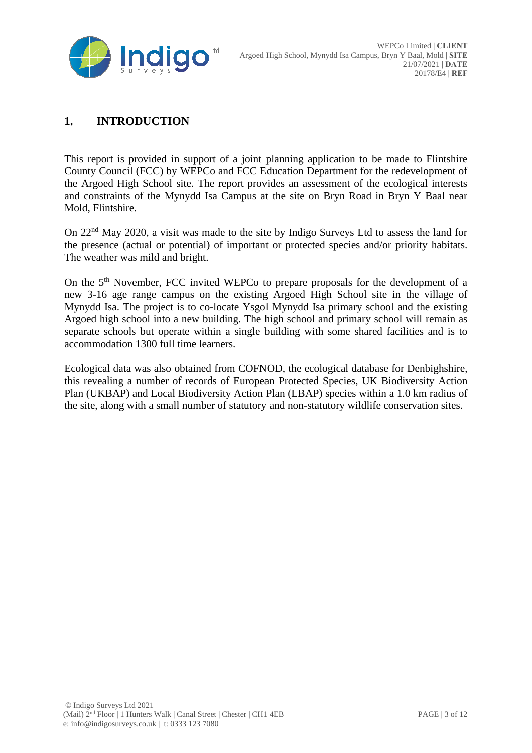

### **1. INTRODUCTION**

This report is provided in support of a joint planning application to be made to Flintshire County Council (FCC) by WEPCo and FCC Education Department for the redevelopment of the Argoed High School site. The report provides an assessment of the ecological interests and constraints of the Mynydd Isa Campus at the site on Bryn Road in Bryn Y Baal near Mold, Flintshire.

On 22nd May 2020, a visit was made to the site by Indigo Surveys Ltd to assess the land for the presence (actual or potential) of important or protected species and/or priority habitats. The weather was mild and bright.

On the 5th November, FCC invited WEPCo to prepare proposals for the development of a new 3-16 age range campus on the existing Argoed High School site in the village of Mynydd Isa. The project is to co-locate Ysgol Mynydd Isa primary school and the existing Argoed high school into a new building. The high school and primary school will remain as separate schools but operate within a single building with some shared facilities and is to accommodation 1300 full time learners.

Ecological data was also obtained from COFNOD, the ecological database for Denbighshire, this revealing a number of records of European Protected Species, UK Biodiversity Action Plan (UKBAP) and Local Biodiversity Action Plan (LBAP) species within a 1.0 km radius of the site, along with a small number of statutory and non-statutory wildlife conservation sites.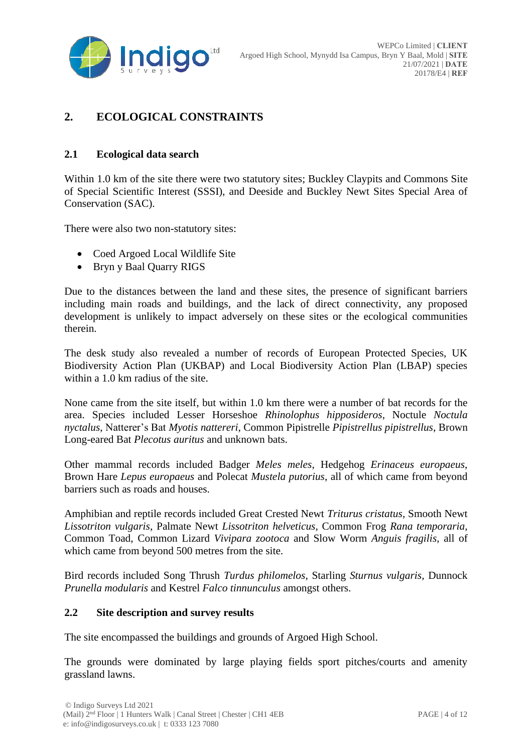

### **2. ECOLOGICAL CONSTRAINTS**

#### **2.1 Ecological data search**

Within 1.0 km of the site there were two statutory sites; Buckley Claypits and Commons Site of Special Scientific Interest (SSSI), and Deeside and Buckley Newt Sites Special Area of Conservation (SAC).

There were also two non-statutory sites:

- Coed Argoed Local Wildlife Site
- Bryn y Baal Quarry RIGS

Due to the distances between the land and these sites, the presence of significant barriers including main roads and buildings, and the lack of direct connectivity, any proposed development is unlikely to impact adversely on these sites or the ecological communities therein.

The desk study also revealed a number of records of European Protected Species, UK Biodiversity Action Plan (UKBAP) and Local Biodiversity Action Plan (LBAP) species within a 1.0 km radius of the site.

None came from the site itself, but within 1.0 km there were a number of bat records for the area. Species included Lesser Horseshoe *Rhinolophus hipposideros*, Noctule *Noctula nyctalus*, Natterer's Bat *Myotis nattereri*, Common Pipistrelle *Pipistrellus pipistrellus*, Brown Long-eared Bat *Plecotus auritus* and unknown bats.

Other mammal records included Badger *Meles meles*, Hedgehog *Erinaceus europaeus*, Brown Hare *Lepus europaeus* and Polecat *Mustela putorius*, all of which came from beyond barriers such as roads and houses.

Amphibian and reptile records included Great Crested Newt *Triturus cristatus*, Smooth Newt *Lissotriton vulgaris*, Palmate Newt *Lissotriton helveticus*, Common Frog *Rana temporaria*, Common Toad, Common Lizard *Vivipara zootoca* and Slow Worm *Anguis fragilis*, all of which came from beyond 500 metres from the site.

Bird records included Song Thrush *Turdus philomelos*, Starling *Sturnus vulgaris*, Dunnock *Prunella modularis* and Kestrel *Falco tinnunculus* amongst others.

#### **2.2 Site description and survey results**

The site encompassed the buildings and grounds of Argoed High School.

The grounds were dominated by large playing fields sport pitches/courts and amenity grassland lawns.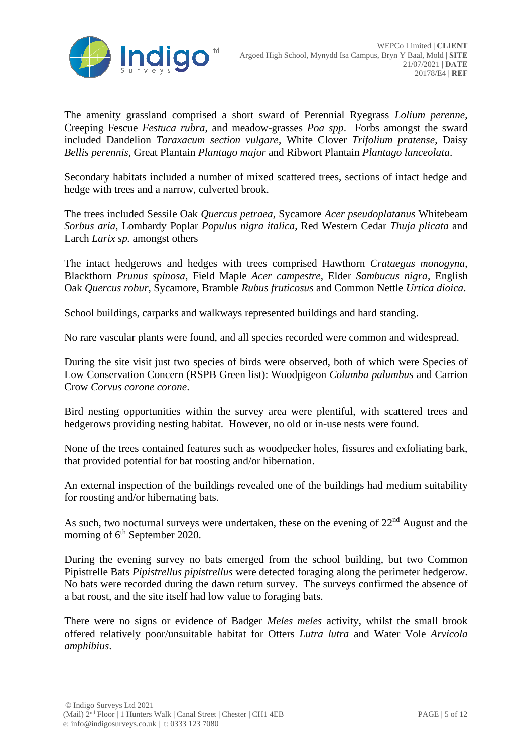

The amenity grassland comprised a short sward of Perennial Ryegrass *Lolium perenne*, Creeping Fescue *Festuca rubra*, and meadow-grasses *Poa spp*. Forbs amongst the sward included Dandelion *Taraxacum section vulgare*, White Clover *Trifolium pratense*, Daisy *Bellis perennis*, Great Plantain *Plantago major* and Ribwort Plantain *Plantago lanceolata*.

Secondary habitats included a number of mixed scattered trees, sections of intact hedge and hedge with trees and a narrow, culverted brook.

The trees included Sessile Oak *Quercus petraea*, Sycamore *Acer pseudoplatanus* Whitebeam *Sorbus aria*, Lombardy Poplar *Populus nigra italica*, Red Western Cedar *Thuja plicata* and Larch *Larix sp.* amongst others

The intact hedgerows and hedges with trees comprised Hawthorn *Crataegus monogyna*, Blackthorn *Prunus spinosa*, Field Maple *Acer campestre*, Elder *Sambucus nigra*, English Oak *Quercus robur*, Sycamore, Bramble *Rubus fruticosus* and Common Nettle *Urtica dioica*.

School buildings, carparks and walkways represented buildings and hard standing.

No rare vascular plants were found, and all species recorded were common and widespread.

During the site visit just two species of birds were observed, both of which were Species of Low Conservation Concern (RSPB Green list): Woodpigeon *Columba palumbus* and Carrion Crow *Corvus corone corone*.

Bird nesting opportunities within the survey area were plentiful, with scattered trees and hedgerows providing nesting habitat. However, no old or in-use nests were found.

None of the trees contained features such as woodpecker holes, fissures and exfoliating bark, that provided potential for bat roosting and/or hibernation.

An external inspection of the buildings revealed one of the buildings had medium suitability for roosting and/or hibernating bats.

As such, two nocturnal surveys were undertaken, these on the evening of  $22<sup>nd</sup>$  August and the morning of 6<sup>th</sup> September 2020.

During the evening survey no bats emerged from the school building, but two Common Pipistrelle Bats *Pipistrellus pipistrellus* were detected foraging along the perimeter hedgerow. No bats were recorded during the dawn return survey. The surveys confirmed the absence of a bat roost, and the site itself had low value to foraging bats.

There were no signs or evidence of Badger *Meles meles* activity, whilst the small brook offered relatively poor/unsuitable habitat for Otters *Lutra lutra* and Water Vole *Arvicola amphibius*.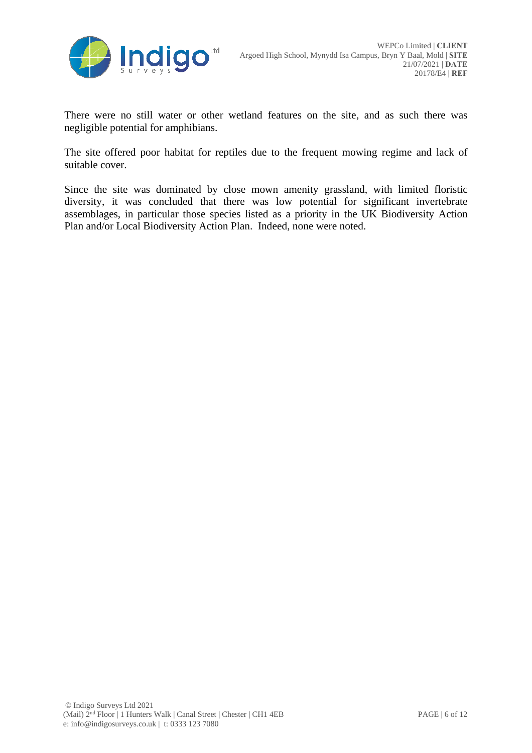

There were no still water or other wetland features on the site, and as such there was negligible potential for amphibians.

The site offered poor habitat for reptiles due to the frequent mowing regime and lack of suitable cover.

Since the site was dominated by close mown amenity grassland, with limited floristic diversity, it was concluded that there was low potential for significant invertebrate assemblages, in particular those species listed as a priority in the UK Biodiversity Action Plan and/or Local Biodiversity Action Plan. Indeed, none were noted.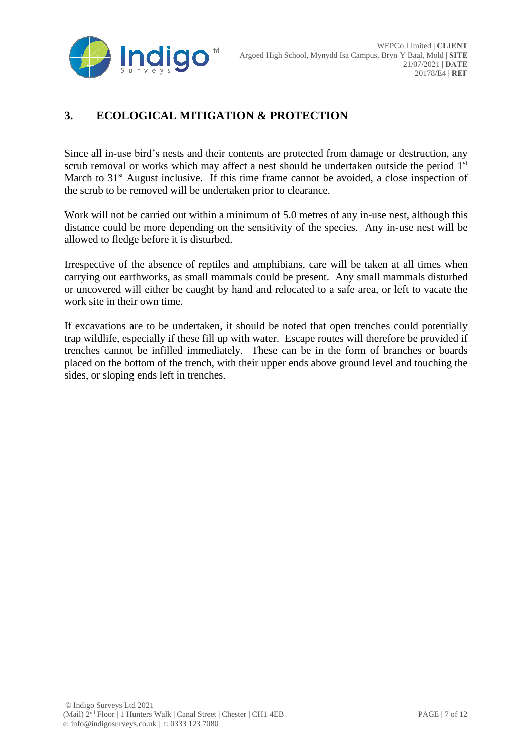

### **3. ECOLOGICAL MITIGATION & PROTECTION**

Since all in-use bird's nests and their contents are protected from damage or destruction, any scrub removal or works which may affect a nest should be undertaken outside the period  $1<sup>st</sup>$ March to  $31<sup>st</sup>$  August inclusive. If this time frame cannot be avoided, a close inspection of the scrub to be removed will be undertaken prior to clearance.

Work will not be carried out within a minimum of 5.0 metres of any in-use nest, although this distance could be more depending on the sensitivity of the species. Any in-use nest will be allowed to fledge before it is disturbed.

Irrespective of the absence of reptiles and amphibians, care will be taken at all times when carrying out earthworks, as small mammals could be present. Any small mammals disturbed or uncovered will either be caught by hand and relocated to a safe area, or left to vacate the work site in their own time.

If excavations are to be undertaken, it should be noted that open trenches could potentially trap wildlife, especially if these fill up with water. Escape routes will therefore be provided if trenches cannot be infilled immediately. These can be in the form of branches or boards placed on the bottom of the trench, with their upper ends above ground level and touching the sides, or sloping ends left in trenches.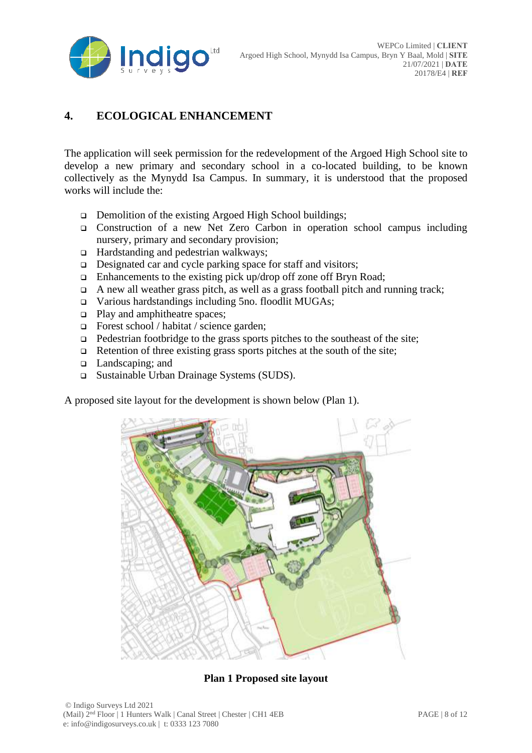

### **4. ECOLOGICAL ENHANCEMENT**

The application will seek permission for the redevelopment of the Argoed High School site to develop a new primary and secondary school in a co-located building, to be known collectively as the Mynydd Isa Campus. In summary, it is understood that the proposed works will include the:

- ❑ Demolition of the existing Argoed High School buildings;
- ❑ Construction of a new Net Zero Carbon in operation school campus including nursery, primary and secondary provision;
- ❑ Hardstanding and pedestrian walkways;
- ❑ Designated car and cycle parking space for staff and visitors;
- ❑ Enhancements to the existing pick up/drop off zone off Bryn Road;
- $\Box$  A new all weather grass pitch, as well as a grass football pitch and running track;
- ❑ Various hardstandings including 5no. floodlit MUGAs;
- ❑ Play and amphitheatre spaces;
- ❑ Forest school / habitat / science garden;
- $\Box$  Pedestrian footbridge to the grass sports pitches to the southeast of the site;
- $\Box$  Retention of three existing grass sports pitches at the south of the site;
- ❑ Landscaping; and
- ❑ Sustainable Urban Drainage Systems (SUDS).

A proposed site layout for the development is shown below (Plan 1).



**Plan 1 Proposed site layout**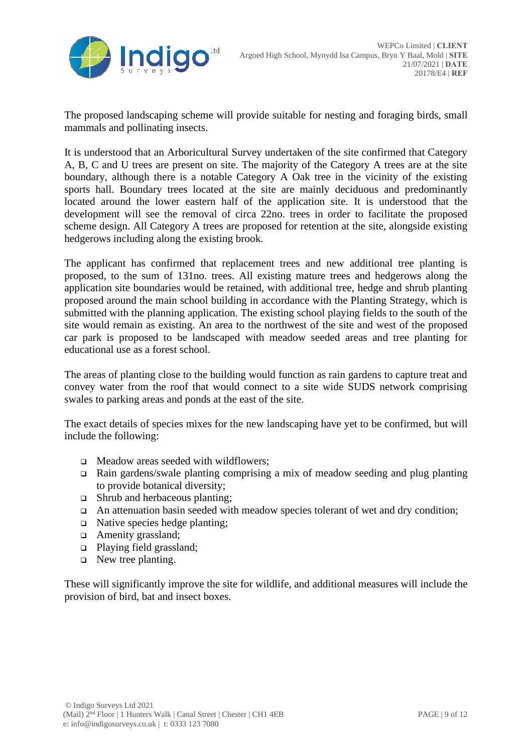

The proposed landscaping scheme will provide suitable for nesting and foraging birds, small mammals and pollinating insects.

It is understood that an Arboricultural Survey undertaken of the site confirmed that Category A, B, C and U trees are present on site. The majority of the Category A trees are at the site boundary, although there is a notable Category A Oak tree in the vicinity of the existing sports hall. Boundary trees located at the site are mainly deciduous and predominantly located around the lower eastern half of the application site. It is understood that the development will see the removal of circa 22no. trees in order to facilitate the proposed scheme design. All Category A trees are proposed for retention at the site, alongside existing hedgerows including along the existing brook.

The applicant has confirmed that replacement trees and new additional tree planting is proposed, to the sum of 131no. trees. All existing mature trees and hedgerows along the application site boundaries would be retained, with additional tree, hedge and shrub planting proposed around the main school building in accordance with the Planting Strategy, which is submitted with the planning application. The existing school playing fields to the south of the site would remain as existing. An area to the northwest of the site and west of the proposed car park is proposed to be landscaped with meadow seeded areas and tree planting for educational use as a forest school.

The areas of planting close to the building would function as rain gardens to capture treat and convey water from the roof that would connect to a site wide SUDS network comprising swales to parking areas and ponds at the east of the site.

The exact details of species mixes for the new landscaping have yet to be confirmed, but will include the following:

- ❑ Meadow areas seeded with wildflowers;
- ❑ Rain gardens/swale planting comprising a mix of meadow seeding and plug planting to provide botanical diversity;
- ❑ Shrub and herbaceous planting;
- ❑ An attenuation basin seeded with meadow species tolerant of wet and dry condition;
- ❑ Native species hedge planting;
- ❑ Amenity grassland;
- ❑ Playing field grassland;
- ❑ New tree planting.

These will significantly improve the site for wildlife, and additional measures will include the provision of bird, bat and insect boxes.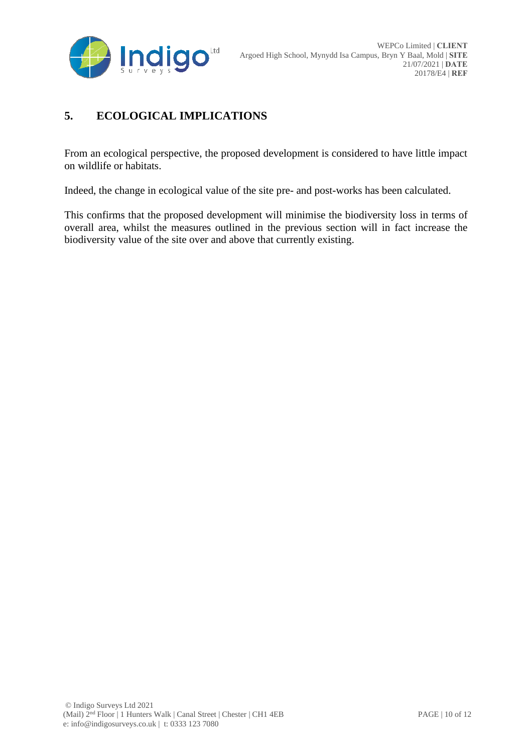

### **5. ECOLOGICAL IMPLICATIONS**

From an ecological perspective, the proposed development is considered to have little impact on wildlife or habitats.

Indeed, the change in ecological value of the site pre- and post-works has been calculated.

This confirms that the proposed development will minimise the biodiversity loss in terms of overall area, whilst the measures outlined in the previous section will in fact increase the biodiversity value of the site over and above that currently existing.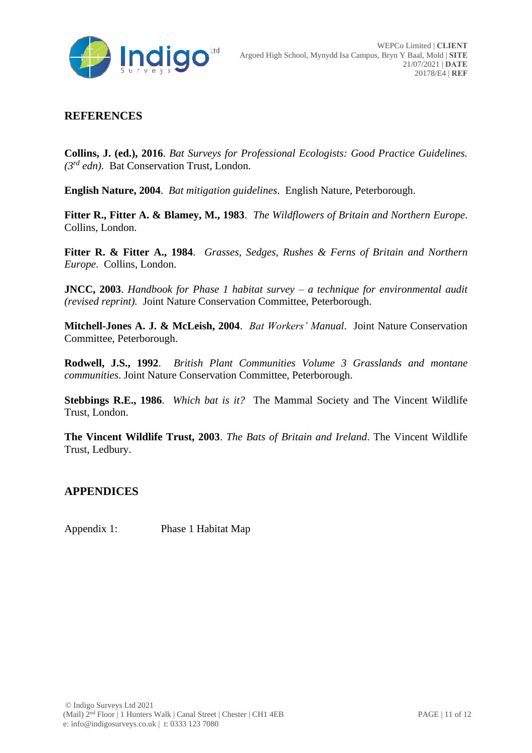

### **REFERENCES**

**Collins, J. (ed.), 2016**. *Bat Surveys for Professional Ecologists: Good Practice Guidelines. (3rd edn).* Bat Conservation Trust, London.

**English Nature, 2004**. *Bat mitigation guidelines*. English Nature, Peterborough.

**Fitter R., Fitter A. & Blamey, M., 1983**. *The Wildflowers of Britain and Northern Europe*. Collins, London.

**Fitter R. & Fitter A., 1984**. *Grasses, Sedges, Rushes & Ferns of Britain and Northern Europe*. Collins, London.

**JNCC, 2003**. *Handbook for Phase 1 habitat survey – a technique for environmental audit (revised reprint).* Joint Nature Conservation Committee, Peterborough.

**Mitchell-Jones A. J. & McLeish, 2004**. *Bat Workers' Manual*. Joint Nature Conservation Committee, Peterborough.

**Rodwell, J.S., 1992**. *British Plant Communities Volume 3 Grasslands and montane communities*. Joint Nature Conservation Committee, Peterborough.

**Stebbings R.E., 1986**. *Which bat is it?* The Mammal Society and The Vincent Wildlife Trust, London.

**The Vincent Wildlife Trust, 2003**. *The Bats of Britain and Ireland*. The Vincent Wildlife Trust, Ledbury.

#### **APPENDICES**

Appendix 1: Phase 1 Habitat Map